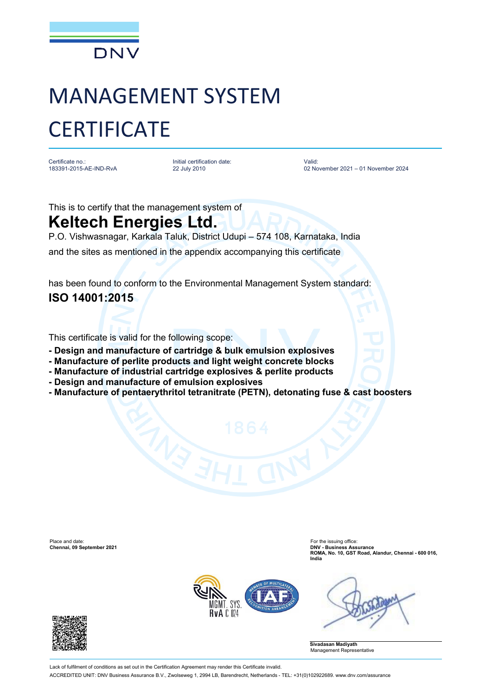

## MANAGEMENT SYSTEM **CERTIFICATE**

Certificate no.: 183391-2015-AE-IND-RvA Initial certification date: 22 July 2010

Valid: 02 November 2021 – 01 November 2024

This is to certify that the management system of

## **Keltech Energies Ltd.**

P.O. Vishwasnagar, Karkala Taluk, District Udupi – 574 108, Karnataka, India

and the sites as mentioned in the appendix accompanying this certificate

has been found to conform to the Environmental Management System standard: **ISO 14001:2015**

This certificate is valid for the following scope:

- **- Design and manufacture of cartridge & bulk emulsion explosives**
- **- Manufacture of perlite products and light weight concrete blocks**
- **- Manufacture of industrial cartridge explosives & perlite products**
- **- Design and manufacture of emulsion explosives**
- **- Manufacture of pentaerythritol tetranitrate (PETN), detonating fuse & cast boosters**

Place and date: For the issuing office: **Chennai, 09 September 2021 DNV - Business Assurance**

**ROMA, No. 10, GST Road, Alandur, Chennai - 600 016, India**





**Sivadasan Madiyath** Management Representative

Lack of fulfilment of conditions as set out in the Certification Agreement may render this Certificate invalid. ACCREDITED UNIT: DNV Business Assurance B.V., Zwolseweg 1, 2994 LB, Barendrecht, Netherlands - TEL: +31(0)102922689. www.dnv.com/assurance